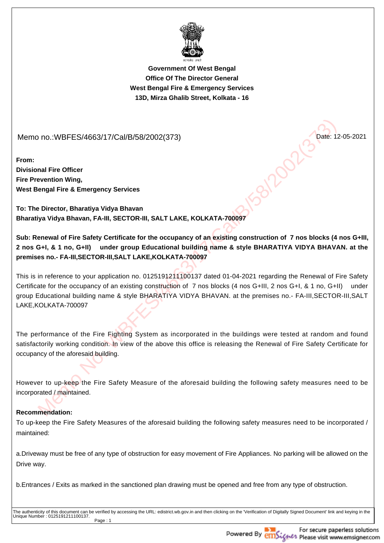

**Government Of West BengalOffice Of The Director GeneralWest Bengal Fire & Emergency Services13D, Mirza Ghalib Street, Kolkata - 16**

Memo no.:WBFES/4663/17/Cal/B/58/2002(373)

**From:Divisional Fire OfficerFire Prevention Wing,West Bengal Fire & Emergency Services**

**To: The Director, Bharatiya Vidya BhavanBharatiya Vidya Bhavan, FA-III, SECTOR-III, SALT LAKE, KOLKATA-700097**

**Sub: Renewal of Fire Safety Certificate for the occupancy of an existing construction of 7 nos blocks (4 nos G+III,2 nos G+I, & 1 no, G+II) under group Educational building name & style BHARATIYA VIDYA BHAVAN. at thepremises no.- FA-III,SECTOR-III,SALT LAKE,KOLKATA-700097** 

Mo.:WBFES/4663/17/Cal/B/58/2002(373)<br>
mail Fire Officer<br>
mengal Fire & Emergency Services<br>
and Fire & Emergency Services<br>
and Fire & Emergency Services<br>
and Fire & Emergency Services<br>
and Prince Stety Certificate for the o This is in reference to your application no. 0125191211100137 dated 01-04-2021 regarding the Renewal of Fire SafetyCertificate for the occupancy of an existing construction of 7 nos blocks (4 nos G+III, 2 nos G+I, & 1 no, G+II) undergroup Educational building name & style BHARATIYA VIDYA BHAVAN. at the premises no.- FA-III,SECTOR-III,SALTLAKE,KOLKATA-700097

The performance of the Fire Fighting System as incorporated in the buildings were tested at random and foundsatisfactorily working condition. In view of the above this office is releasing the Renewal of Fire Safety Certificate for occupancy of the aforesaid building.

However to up-keep the Fire Safety Measure of the aforesaid building the following safety measures need to beincorporated / maintained.

## **Recommendation:**

To up-keep the Fire Safety Measures of the aforesaid building the following safety measures need to be incorporated /maintained:

a.Driveway must be free of any type of obstruction for easy movement of Fire Appliances. No parking will be allowed on theDrive way.

b.Entrances / Exits as marked in the sanctioned plan drawing must be opened and free from any type of obstruction.

The authenticity of this document can be verified by accessing the URL: edistrict.wb.gov.in and then clicking on the 'Verification of Digitally Signed Document' link and keying in the Unique Number : 0125191211100137.Page : 1

Date: 12-05-2021



For secure paperless solutions **Contra Please visit www.emsigner.com**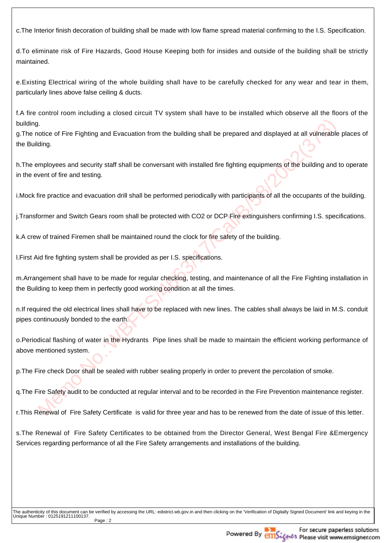c.The Interior finish decoration of building shall be made with low flame spread material confirming to the I.S. Specification.

d.To eliminate risk of Fire Hazards, Good House Keeping both for insides and outside of the building shall be strictlymaintained.

e.Existing Electrical wiring of the whole building shall have to be carefully checked for any wear and tear in them,particularly lines above false ceiling & ducts.

f.A fire control room including a closed circuit TV system shall have to be installed which observe all the floors of thebuilding.

g.The notice of Fire Fighting and Evacuation from the building shall be prepared and displayed at all vulnerable places ofthe Building.

h.The employees and security staff shall be conversant with installed fire fighting equipments of the building and to operatein the event of fire and testing.

i.Mock fire practice and evacuation drill shall be performed periodically with participants of all the occupants of the building.

j.Transformer and Switch Gears room shall be protected with CO2 or DCP Fire extinguishers confirming I.S. specifications.

k.A crew of trained Firemen shall be maintained round the clock for fire safety of the building.

l.First Aid fire fighting system shall be provided as per I.S. specifications.

m.Arrangement shall have to be made for regular checking, testing, and maintenance of all the Fire Fighting installation inthe Building to keep them in perfectly good working condition at all the times.

n.If required the old electrical lines shall have to be replaced with new lines. The cables shall always be laid in M.S. conduitpipes continuously bonded to the earth.

istandary of Fire Fighting and Evacuation from the building shall be prepared and displayed at all vulnerables<br>uniforming the standary of the building shall be performed fire fighting equipments of the building and<br>vent of o.Periodical flashing of water in the Hydrants Pipe lines shall be made to maintain the efficient working performance ofabove mentioned system.

p.The Fire check Door shall be sealed with rubber sealing properly in order to prevent the percolation of smoke.

q.The Fire Safety audit to be conducted at regular interval and to be recorded in the Fire Prevention maintenance register.

r.This Renewal of Fire Safety Certificate is valid for three year and has to be renewed from the date of issue of this letter.

s.The Renewal of Fire Safety Certificates to be obtained from the Director General, West Bengal Fire &EmergencyServices regarding performance of all the Fire Safety arrangements and installations of the building.

The authenticity of this document can be verified by accessing the URL: edistrict.wb.gov.in and then clicking on the 'Verification of Digitally Signed Document' link and keying in the Unique Number : 0125191211100137.Page : 2